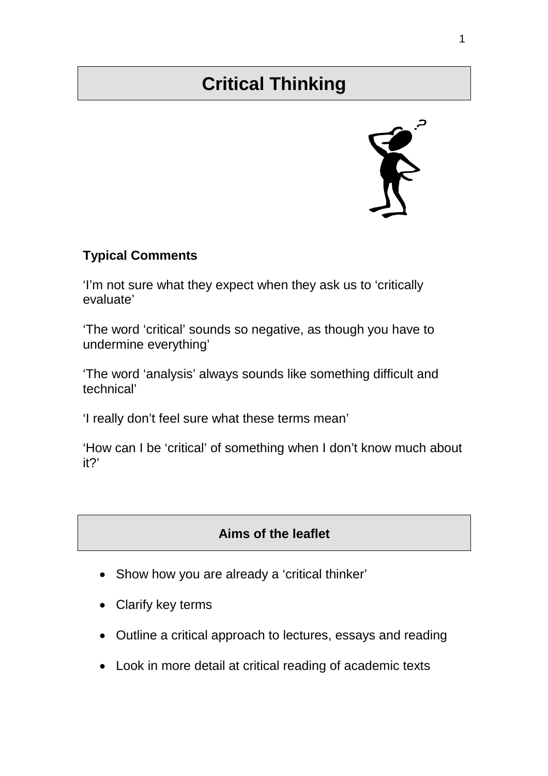# **Critical Thinking**



#### **Typical Comments**

'I'm not sure what they expect when they ask us to 'critically evaluate'

'The word 'critical' sounds so negative, as though you have to undermine everything'

'The word 'analysis' always sounds like something difficult and technical'

'I really don't feel sure what these terms mean'

'How can I be 'critical' of something when I don't know much about it?'

## **Aims of the leaflet**

- Show how you are already a 'critical thinker'
- Clarify key terms
- Outline a critical approach to lectures, essays and reading
- Look in more detail at critical reading of academic texts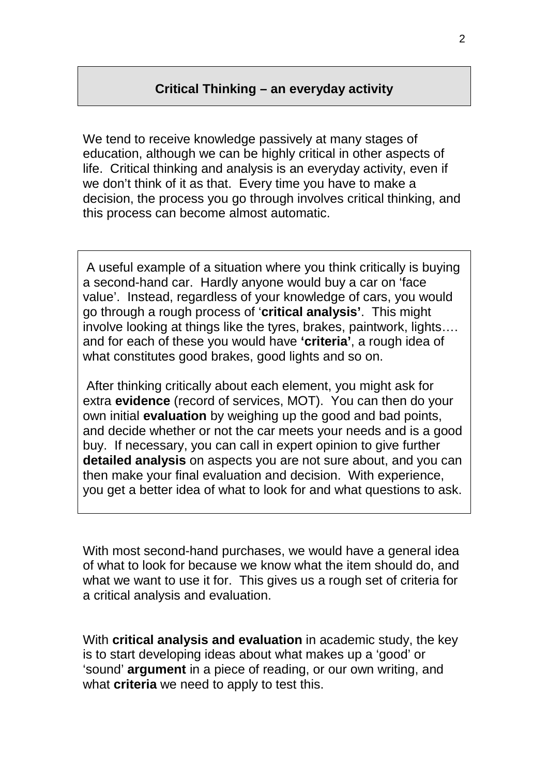#### **Critical Thinking – an everyday activity**

We tend to receive knowledge passively at many stages of education, although we can be highly critical in other aspects of life. Critical thinking and analysis is an everyday activity, even if we don't think of it as that. Every time you have to make a decision, the process you go through involves critical thinking, and this process can become almost automatic.

 A useful example of a situation where you think critically is buying a second-hand car. Hardly anyone would buy a car on 'face value'. Instead, regardless of your knowledge of cars, you would go through a rough process of '**critical analysis'**. This might involve looking at things like the tyres, brakes, paintwork, lights…. and for each of these you would have **'criteria'**, a rough idea of what constitutes good brakes, good lights and so on.

 After thinking critically about each element, you might ask for extra **evidence** (record of services, MOT). You can then do your own initial **evaluation** by weighing up the good and bad points, and decide whether or not the car meets your needs and is a good buy. If necessary, you can call in expert opinion to give further **detailed analysis** on aspects you are not sure about, and you can then make your final evaluation and decision. With experience, you get a better idea of what to look for and what questions to ask.

With most second-hand purchases, we would have a general idea of what to look for because we know what the item should do, and what we want to use it for. This gives us a rough set of criteria for a critical analysis and evaluation.

With **critical analysis and evaluation** in academic study, the key is to start developing ideas about what makes up a 'good' or 'sound' **argument** in a piece of reading, or our own writing, and what **criteria** we need to apply to test this.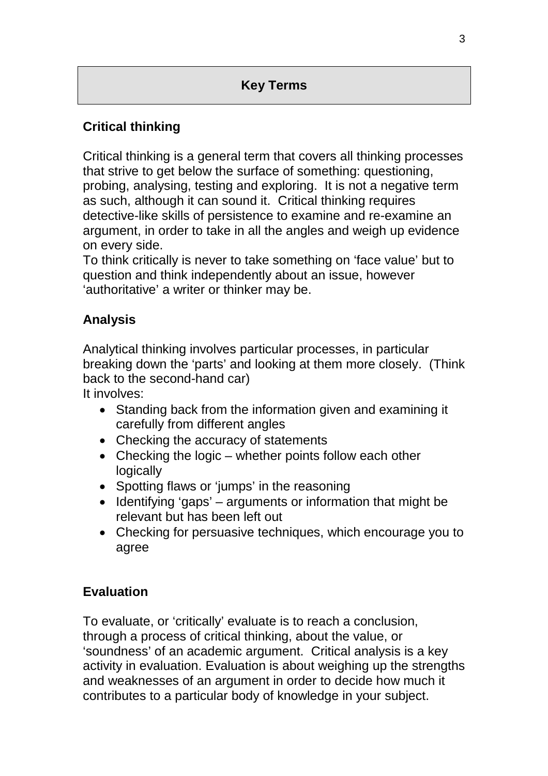## **Key Terms**

## **Critical thinking**

Critical thinking is a general term that covers all thinking processes that strive to get below the surface of something: questioning, probing, analysing, testing and exploring. It is not a negative term as such, although it can sound it. Critical thinking requires detective-like skills of persistence to examine and re-examine an argument, in order to take in all the angles and weigh up evidence on every side.

To think critically is never to take something on 'face value' but to question and think independently about an issue, however 'authoritative' a writer or thinker may be.

## **Analysis**

Analytical thinking involves particular processes, in particular breaking down the 'parts' and looking at them more closely. (Think back to the second-hand car)

It involves:

- Standing back from the information given and examining it carefully from different angles
- Checking the accuracy of statements
- Checking the logic whether points follow each other **logically**
- Spotting flaws or 'jumps' in the reasoning
- Identifying 'gaps' arguments or information that might be relevant but has been left out
- Checking for persuasive techniques, which encourage you to agree

#### **Evaluation**

To evaluate, or 'critically' evaluate is to reach a conclusion, through a process of critical thinking, about the value, or 'soundness' of an academic argument. Critical analysis is a key activity in evaluation. Evaluation is about weighing up the strengths and weaknesses of an argument in order to decide how much it contributes to a particular body of knowledge in your subject.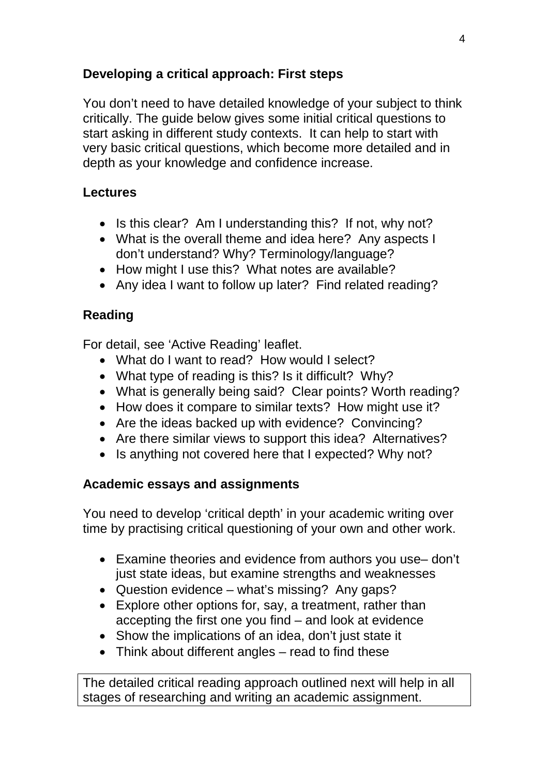## **Developing a critical approach: First steps**

You don't need to have detailed knowledge of your subject to think critically. The guide below gives some initial critical questions to start asking in different study contexts. It can help to start with very basic critical questions, which become more detailed and in depth as your knowledge and confidence increase.

## **Lectures**

- Is this clear? Am I understanding this? If not, why not?
- What is the overall theme and idea here? Any aspects I don't understand? Why? Terminology/language?
- How might I use this? What notes are available?
- Any idea I want to follow up later? Find related reading?

## **Reading**

For detail, see 'Active Reading' leaflet.

- What do I want to read? How would I select?
- What type of reading is this? Is it difficult? Why?
- What is generally being said? Clear points? Worth reading?
- How does it compare to similar texts? How might use it?
- Are the ideas backed up with evidence? Convincing?
- Are there similar views to support this idea? Alternatives?
- Is anything not covered here that I expected? Why not?

## **Academic essays and assignments**

You need to develop 'critical depth' in your academic writing over time by practising critical questioning of your own and other work.

- Examine theories and evidence from authors you use– don't just state ideas, but examine strengths and weaknesses
- Question evidence what's missing? Any gaps?
- Explore other options for, say, a treatment, rather than accepting the first one you find – and look at evidence
- Show the implications of an idea, don't just state it
- Think about different angles read to find these

The detailed critical reading approach outlined next will help in all stages of researching and writing an academic assignment.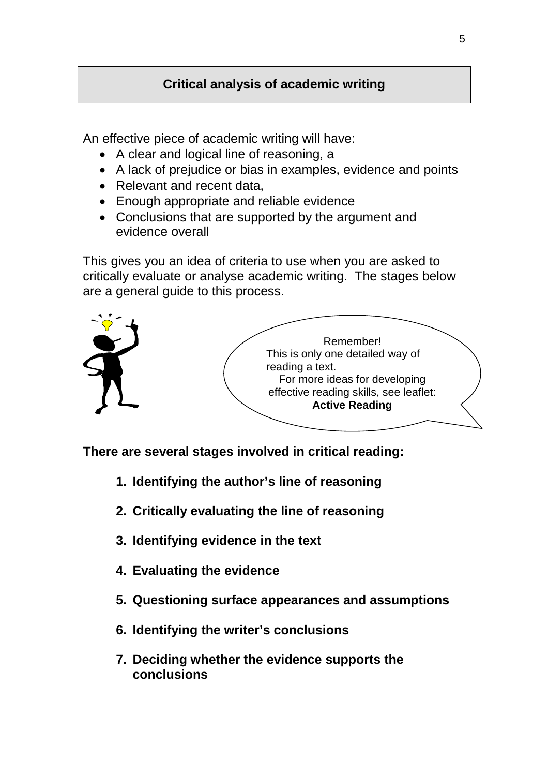## **Critical analysis of academic writing**

An effective piece of academic writing will have:

- A clear and logical line of reasoning, a
- A lack of prejudice or bias in examples, evidence and points
- Relevant and recent data,
- Enough appropriate and reliable evidence
- Conclusions that are supported by the argument and evidence overall

This gives you an idea of criteria to use when you are asked to critically evaluate or analyse academic writing. The stages below are a general guide to this process.



**There are several stages involved in critical reading:** 

- **1. Identifying the author's line of reasoning**
- **2. Critically evaluating the line of reasoning**
- **3. Identifying evidence in the text**
- **4. Evaluating the evidence**
- **5. Questioning surface appearances and assumptions**
- **6. Identifying the writer's conclusions**
- **7. Deciding whether the evidence supports the conclusions**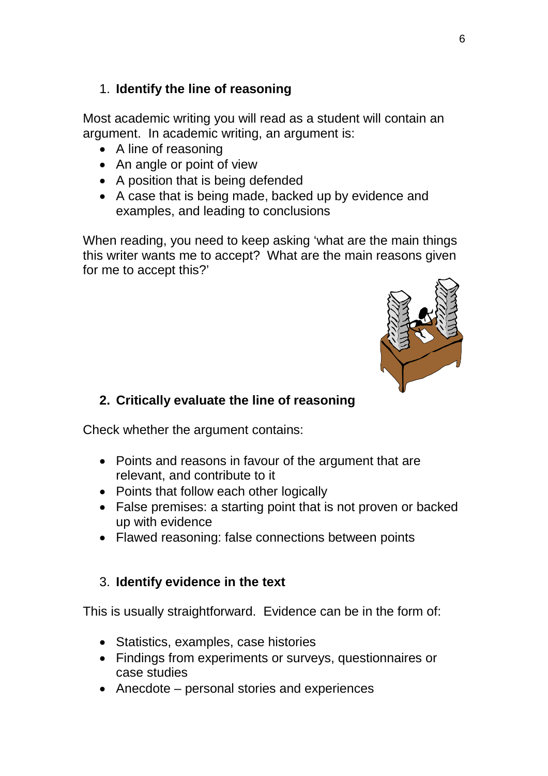#### 1. **Identify the line of reasoning**

Most academic writing you will read as a student will contain an argument. In academic writing, an argument is:

- A line of reasoning
- An angle or point of view
- A position that is being defended
- A case that is being made, backed up by evidence and examples, and leading to conclusions

When reading, you need to keep asking 'what are the main things this writer wants me to accept? What are the main reasons given for me to accept this?'



#### **2. Critically evaluate the line of reasoning**

Check whether the argument contains:

- Points and reasons in favour of the argument that are relevant, and contribute to it
- Points that follow each other logically
- False premises: a starting point that is not proven or backed up with evidence
- Flawed reasoning: false connections between points

#### 3. **Identify evidence in the text**

This is usually straightforward. Evidence can be in the form of:

- Statistics, examples, case histories
- Findings from experiments or surveys, questionnaires or case studies
- Anecdote personal stories and experiences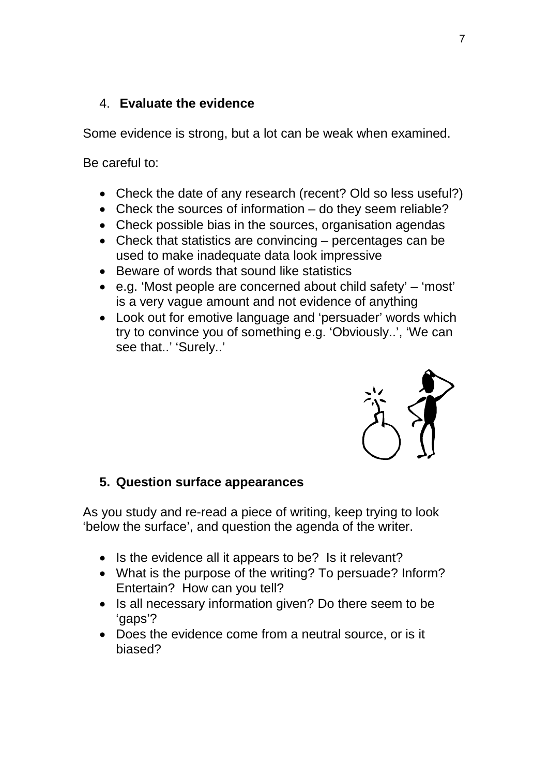#### 4. **Evaluate the evidence**

Some evidence is strong, but a lot can be weak when examined.

Be careful to:

- Check the date of any research (recent? Old so less useful?)
- Check the sources of information do they seem reliable?
- Check possible bias in the sources, organisation agendas
- Check that statistics are convincing percentages can be used to make inadequate data look impressive
- Beware of words that sound like statistics
- e.g. 'Most people are concerned about child safety' 'most' is a very vague amount and not evidence of anything
- Look out for emotive language and 'persuader' words which try to convince you of something e.g. 'Obviously..', 'We can see that..' 'Surely..'



#### **5. Question surface appearances**

As you study and re-read a piece of writing, keep trying to look 'below the surface', and question the agenda of the writer.

- Is the evidence all it appears to be? Is it relevant?
- What is the purpose of the writing? To persuade? Inform? Entertain? How can you tell?
- Is all necessary information given? Do there seem to be 'gaps'?
- Does the evidence come from a neutral source, or is it biased?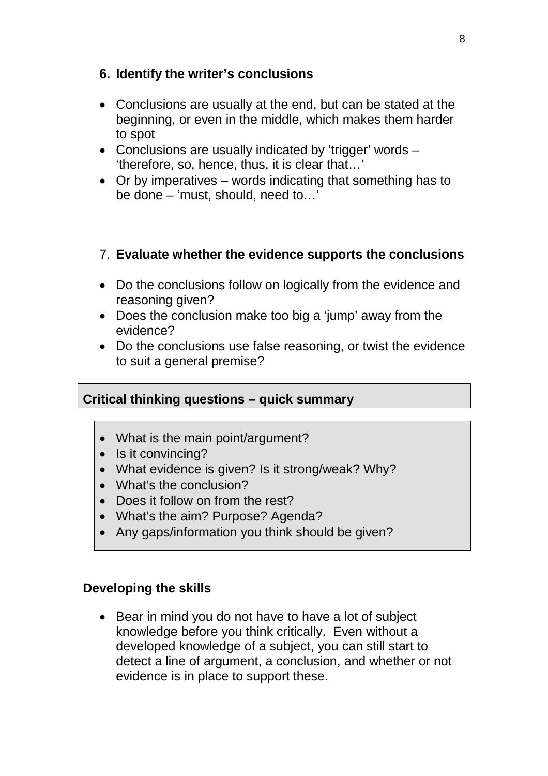#### **6. Identify the writer's conclusions**

- Conclusions are usually at the end, but can be stated at the beginning, or even in the middle, which makes them harder to spot
- Conclusions are usually indicated by 'trigger' words 'therefore, so, hence, thus, it is clear that…'
- Or by imperatives words indicating that something has to be done – 'must, should, need to…'

#### 7. **Evaluate whether the evidence supports the conclusions**

- Do the conclusions follow on logically from the evidence and reasoning given?
- Does the conclusion make too big a 'jump' away from the evidence?
- Do the conclusions use false reasoning, or twist the evidence to suit a general premise?

#### **Critical thinking questions – quick summary**

- What is the main point/argument?
- Is it convincing?
- What evidence is given? Is it strong/weak? Why?
- What's the conclusion?
- Does it follow on from the rest?
- What's the aim? Purpose? Agenda?
- Any gaps/information you think should be given?

#### **Developing the skills**

• Bear in mind you do not have to have a lot of subject knowledge before you think critically. Even without a developed knowledge of a subject, you can still start to detect a line of argument, a conclusion, and whether or not evidence is in place to support these.